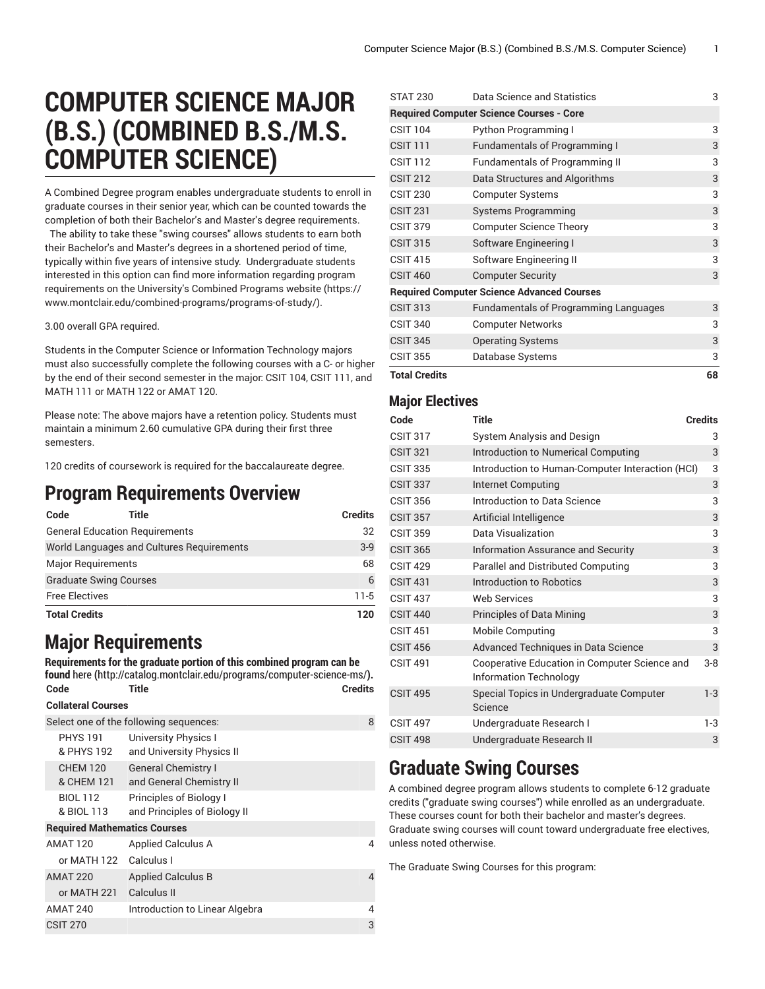# **COMPUTER SCIENCE MAJOR (B.S.) (COMBINED B.S./M.S. COMPUTER SCIENCE)**

A Combined Degree program enables undergraduate students to enroll in graduate courses in their senior year, which can be counted towards the completion of both their Bachelor's and Master's degree requirements.

The ability to take these "swing courses" allows students to earn both their Bachelor's and Master's degrees in a shortened period of time, typically within five years of intensive study. Undergraduate students interested in this option can find more information regarding program requirements on the [University's](https://www.montclair.edu/combined-programs/programs-of-study/) Combined Programs website ([https://](https://www.montclair.edu/combined-programs/programs-of-study/) [www.montclair.edu/combined-programs/programs-of-study/](https://www.montclair.edu/combined-programs/programs-of-study/)).

#### 3.00 overall GPA required.

Students in the Computer Science or Information Technology majors must also successfully complete the following courses with a C- or higher by the end of their second semester in the major: CSIT 104, CSIT 111, and MATH 111 or MATH 122 or AMAT 120.

Please note: The above majors have a retention policy. Students must maintain a minimum 2.60 cumulative GPA during their first three semesters.

120 credits of coursework is required for the baccalaureate degree.

### **Program Requirements Overview**

| Code                                  | <b>Title</b>                              | <b>Credits</b> |
|---------------------------------------|-------------------------------------------|----------------|
| <b>General Education Requirements</b> |                                           | 32             |
|                                       | World Languages and Cultures Requirements | $3-9$          |
| <b>Major Requirements</b>             |                                           | 68             |
|                                       | <b>Graduate Swing Courses</b>             | 6              |
| <b>Free Electives</b>                 |                                           | $11-5$         |
| <b>Total Credits</b>                  |                                           | 120            |

### **Major Requirements**

**Requirements for the graduate portion of this combined program can be found** [here](http://catalog.montclair.edu/programs/computer-science-ms/) **(**<http://catalog.montclair.edu/programs/computer-science-ms/>**). Code Title Credits Collateral Courses** Select one of the following sequences: 8 PHYS 191 & PHYS 192 University Physics I and University Physics II CHEM 120 & CHEM 121 General Chemistry I and General Chemistry II BIOL 112 & BIOL 113 Principles of Biology I and Principles of Biology II **Required Mathematics Courses** AMAT 120 Applied Calculus A 4 or MATH 122 Calculus I AMAT 220 Applied Calculus B 4 or MATH 221 Calculus II AMAT 240 Introduction to Linear Algebra 4  $CSIT$  270  $3$ 

| <b>Total Credits</b> |                                                   | 68 |
|----------------------|---------------------------------------------------|----|
| <b>CSIT 355</b>      | Database Systems                                  | 3  |
| <b>CSIT 345</b>      | <b>Operating Systems</b>                          | 3  |
| <b>CSIT 340</b>      | <b>Computer Networks</b>                          | 3  |
| <b>CSIT 313</b>      | <b>Fundamentals of Programming Languages</b>      | 3  |
|                      | <b>Required Computer Science Advanced Courses</b> |    |
| <b>CSIT 460</b>      | <b>Computer Security</b>                          | 3  |
| <b>CSIT 415</b>      | Software Engineering II                           | 3  |
| <b>CSIT 315</b>      | Software Engineering I                            | 3  |
| <b>CSIT 379</b>      | <b>Computer Science Theory</b>                    | 3  |
| <b>CSIT 231</b>      | <b>Systems Programming</b>                        | 3  |
| <b>CSIT 230</b>      | <b>Computer Systems</b>                           | 3  |
| <b>CSIT 212</b>      | Data Structures and Algorithms                    | 3  |
| <b>CSIT 112</b>      | <b>Fundamentals of Programming II</b>             | 3  |
| <b>CSIT 111</b>      | <b>Fundamentals of Programming I</b>              | 3  |
| <b>CSIT 104</b>      | Python Programming I                              | 3  |
|                      | <b>Required Computer Science Courses - Core</b>   |    |
| <b>STAT 230</b>      | Data Science and Statistics                       | 3  |

#### **Major Electives**

| Code            | Title                                                                          | <b>Credits</b> |
|-----------------|--------------------------------------------------------------------------------|----------------|
| <b>CSIT 317</b> | System Analysis and Design                                                     | 3              |
| <b>CSIT 321</b> | Introduction to Numerical Computing                                            | 3              |
| <b>CSIT 335</b> | Introduction to Human-Computer Interaction (HCI)                               | 3              |
| <b>CSIT 337</b> | Internet Computing                                                             | 3              |
| <b>CSIT 356</b> | Introduction to Data Science                                                   | 3              |
| <b>CSIT 357</b> | Artificial Intelligence                                                        | 3              |
| <b>CSIT 359</b> | Data Visualization                                                             | 3              |
| <b>CSIT 365</b> | <b>Information Assurance and Security</b>                                      | 3              |
| <b>CSIT 429</b> | Parallel and Distributed Computing                                             | 3              |
| <b>CSIT 431</b> | <b>Introduction to Robotics</b>                                                | 3              |
| <b>CSIT 437</b> | <b>Web Services</b>                                                            | 3              |
| <b>CSIT 440</b> | Principles of Data Mining                                                      | 3              |
| <b>CSIT 451</b> | <b>Mobile Computing</b>                                                        | 3              |
| <b>CSIT 456</b> | Advanced Techniques in Data Science                                            | 3              |
| <b>CSIT 491</b> | Cooperative Education in Computer Science and<br><b>Information Technology</b> | $3-8$          |
| <b>CSIT 495</b> | Special Topics in Undergraduate Computer<br>Science                            | $1-3$          |
| <b>CSIT 497</b> | Undergraduate Research I                                                       | 1-3            |
| <b>CSIT 498</b> | Undergraduate Research II                                                      | 3              |

### **Graduate Swing Courses**

A combined degree program allows students to complete 6-12 graduate credits ("graduate swing courses") while enrolled as an undergraduate. These courses count for both their bachelor and master's degrees. Graduate swing courses will count toward undergraduate free electives, unless noted otherwise.

The Graduate Swing Courses for this program: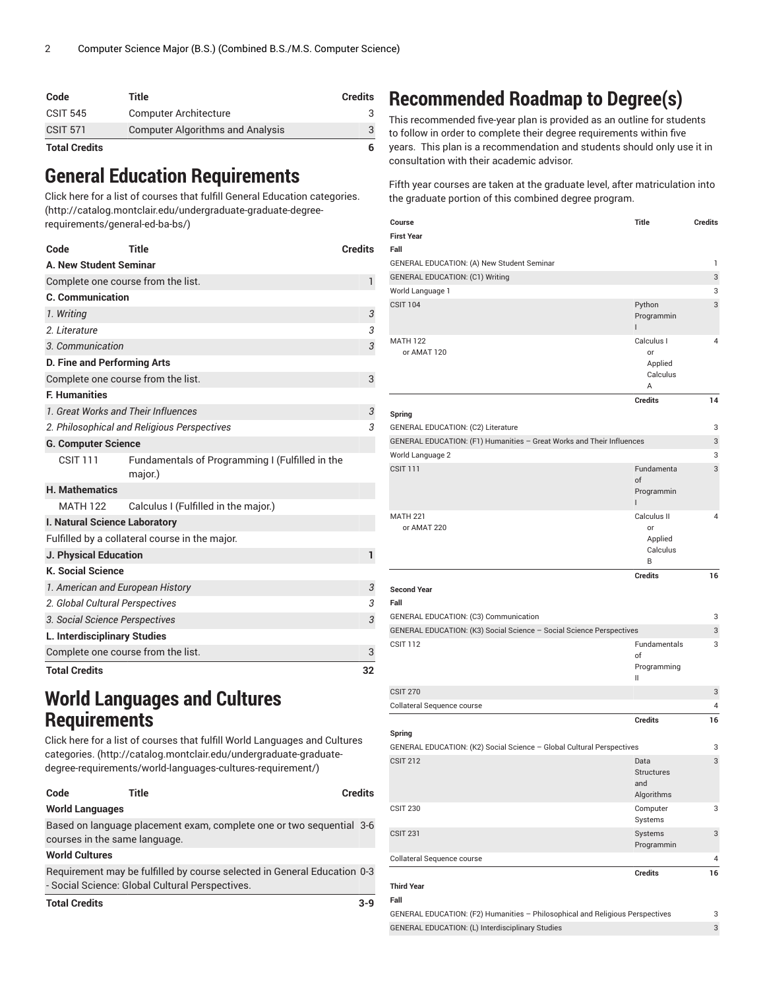| Code            | Title                                   | <b>Credits</b> |
|-----------------|-----------------------------------------|----------------|
| <b>CSIT 545</b> | <b>Computer Architecture</b>            |                |
| <b>CSIT 571</b> | <b>Computer Algorithms and Analysis</b> |                |
| Total Cradita   |                                         |                |

#### **Total Credits 6**

### **General Education Requirements**

Click here for a list of courses that fulfill General Education [categories.](http://catalog.montclair.edu/undergraduate-graduate-degree-requirements/general-ed-ba-bs/) ([http://catalog.montclair.edu/undergraduate-graduate-degree](http://catalog.montclair.edu/undergraduate-graduate-degree-requirements/general-ed-ba-bs/)[requirements/general-ed-ba-bs/\)](http://catalog.montclair.edu/undergraduate-graduate-degree-requirements/general-ed-ba-bs/)

| Code                                        | <b>Title</b>                                               | <b>Credits</b> |
|---------------------------------------------|------------------------------------------------------------|----------------|
| A. New Student Seminar                      |                                                            |                |
|                                             | Complete one course from the list.                         | 1              |
| <b>C.</b> Communication                     |                                                            |                |
| 1. Writing                                  |                                                            | 3              |
| 2. Literature                               |                                                            | 3              |
| 3. Communication                            |                                                            | 3              |
| <b>D. Fine and Performing Arts</b>          |                                                            |                |
|                                             | Complete one course from the list.                         | 3              |
| <b>F. Humanities</b>                        |                                                            |                |
|                                             | 1. Great Works and Their Influences                        | 3              |
| 2. Philosophical and Religious Perspectives |                                                            | 3              |
| <b>G. Computer Science</b>                  |                                                            |                |
| <b>CSIT 111</b>                             | Fundamentals of Programming I (Fulfilled in the<br>major.) |                |
| <b>H. Mathematics</b>                       |                                                            |                |
| <b>MATH 122</b>                             | Calculus I (Fulfilled in the major.)                       |                |
| I. Natural Science Laboratory               |                                                            |                |
|                                             | Fulfilled by a collateral course in the major.             |                |
| <b>J. Physical Education</b>                |                                                            | $\mathbf{1}$   |
| <b>K. Social Science</b>                    |                                                            |                |
| 1. American and European History            |                                                            | 3              |
| 2. Global Cultural Perspectives             |                                                            | 3              |
| 3. Social Science Perspectives              |                                                            | 3              |
| L. Interdisciplinary Studies                |                                                            |                |
|                                             | Complete one course from the list.                         | 3              |
| <b>Total Credits</b>                        |                                                            | 32             |

### **World Languages and Cultures Requirements**

Click here for a list of courses that fulfill World [Languages](http://catalog.montclair.edu/undergraduate-graduate-degree-requirements/world-languages-cultures-requirement/) and Cultures [categories.](http://catalog.montclair.edu/undergraduate-graduate-degree-requirements/world-languages-cultures-requirement/) ([http://catalog.montclair.edu/undergraduate-graduate](http://catalog.montclair.edu/undergraduate-graduate-degree-requirements/world-languages-cultures-requirement/)[degree-requirements/world-languages-cultures-requirement/](http://catalog.montclair.edu/undergraduate-graduate-degree-requirements/world-languages-cultures-requirement/))

| Code | Title | <b>Credits</b> |  |  |
|------|-------|----------------|--|--|
|      |       |                |  |  |

#### **World Languages**

Based on language placement exam, complete one or two sequential 3-6 courses in the same language.

#### **World Cultures**

Requirement may be fulfilled by course selected in General Education 0-3 - Social Science: Global Cultural Perspectives.

| $3-9$ |
|-------|
|       |

## **Recommended Roadmap to Degree(s)**

This recommended five-year plan is provided as an outline for students to follow in order to complete their degree requirements within five years. This plan is a recommendation and students should only use it in consultation with their academic advisor.

Fifth year courses are taken at the graduate level, after matriculation into the graduate portion of this combined degree program.

| Course                                                                | <b>Title</b>        | <b>Credits</b> |
|-----------------------------------------------------------------------|---------------------|----------------|
| <b>First Year</b>                                                     |                     |                |
| Fall                                                                  |                     |                |
| GENERAL EDUCATION: (A) New Student Seminar                            |                     | 1<br>3         |
| <b>GENERAL EDUCATION: (C1) Writing</b><br>World Language 1            |                     | 3              |
| <b>CSIT 104</b>                                                       | Python              | 3              |
|                                                                       | Programmin<br>L     |                |
| <b>MATH 122</b>                                                       | Calculus I          | 4              |
| or AMAT 120                                                           | or<br>Applied       |                |
|                                                                       | Calculus            |                |
|                                                                       | A                   |                |
|                                                                       | <b>Credits</b>      | 14             |
| Spring                                                                |                     |                |
| GENERAL EDUCATION: (C2) Literature                                    |                     | 3              |
| GENERAL EDUCATION: (F1) Humanities - Great Works and Their Influences |                     | 3              |
| World Language 2                                                      |                     | 3              |
| <b>CSIT 111</b>                                                       | Fundamenta<br>of    | 3              |
|                                                                       | Programmin          |                |
|                                                                       | $\mathsf{I}$        |                |
| <b>MATH 221</b>                                                       | Calculus II         | 4              |
| or AMAT 220                                                           | or                  |                |
|                                                                       | Applied<br>Calculus |                |
|                                                                       | B                   |                |
|                                                                       | <b>Credits</b>      | 16             |
| <b>Second Year</b><br>Fall                                            |                     |                |
| GENERAL EDUCATION: (C3) Communication                                 |                     | 3              |
| GENERAL EDUCATION: (K3) Social Science - Social Science Perspectives  |                     | 3              |
| <b>CSIT 112</b>                                                       | Fundamentals<br>of  | 3              |
|                                                                       | Programming         |                |
| <b>CSIT 270</b>                                                       | Ш                   | 3              |
| Collateral Sequence course                                            |                     | 4              |
|                                                                       | <b>Credits</b>      | 16             |
| Spring                                                                |                     |                |
| GENERAL EDUCATION: (K2) Social Science - Global Cultural Perspectives |                     | 3              |
| <b>CSIT 212</b>                                                       | Data                | 3              |
|                                                                       | Structures          |                |
|                                                                       | and<br>Algorithms   |                |
| <b>CSIT 230</b>                                                       | Computer            | 3              |
|                                                                       | Systems             |                |
| <b>CSIT 231</b>                                                       | Systems             | 3              |
|                                                                       | Programmin          |                |
| Collateral Sequence course                                            |                     | 4              |
| <b>Third Year</b>                                                     | <b>Credits</b>      | 16             |

#### **Fall**

GENERAL EDUCATION: (F2) Humanities – Philosophical and Religious Perspectives 3 GENERAL EDUCATION: (L) Interdisciplinary Studies 3 3